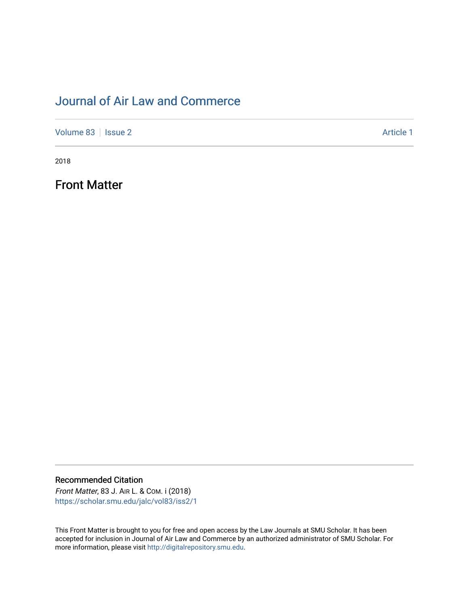## [Journal of Air Law and Commerce](https://scholar.smu.edu/jalc)

[Volume 83](https://scholar.smu.edu/jalc/vol83) | [Issue 2](https://scholar.smu.edu/jalc/vol83/iss2) Article 1

2018

Front Matter

Recommended Citation Front Matter, 83 J. AIR L. & COM. i (2018)

[https://scholar.smu.edu/jalc/vol83/iss2/1](https://scholar.smu.edu/jalc/vol83/iss2/1?utm_source=scholar.smu.edu%2Fjalc%2Fvol83%2Fiss2%2F1&utm_medium=PDF&utm_campaign=PDFCoverPages) 

This Front Matter is brought to you for free and open access by the Law Journals at SMU Scholar. It has been accepted for inclusion in Journal of Air Law and Commerce by an authorized administrator of SMU Scholar. For more information, please visit [http://digitalrepository.smu.edu](http://digitalrepository.smu.edu/).